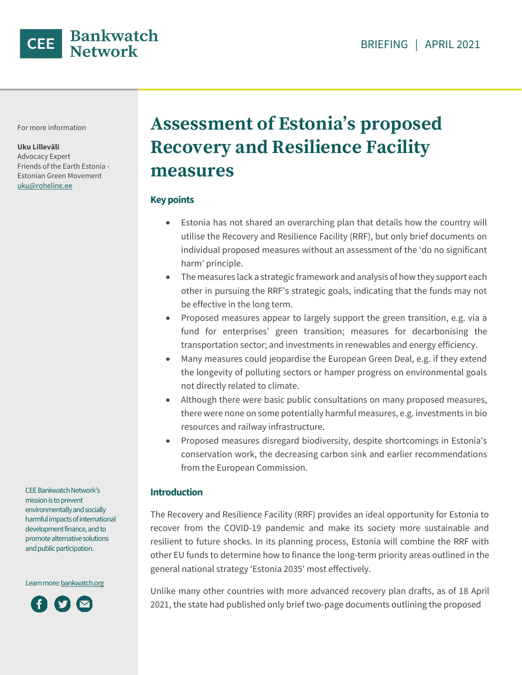

For more information

**Uku Lilleväli** 

Advocacy Expert Friends of the Earth Estonia - Estonian Green Movement uku@roheline.ee

# **Assessment of Estonia's proposed Recovery and Resilience Facility measures**

#### **Key points**

- Estonia has not shared an overarching plan that details how the country will utilise the Recovery and Resilience Facility (RRF), but only brief documents on individual proposed measures without an assessment of the 'do no significant harm' principle.
- The measures lack a strategic framework and analysis of how they support each other in pursuing the RRF's strategic goals, indicating that the funds may not be effective in the long term.
- Proposed measures appear to largely support the green transition, e.g. via a fund for enterprises' green transition; measures for decarbonising the transportation sector; and investments in renewables and energy efficiency.
- Many measures could jeopardise the European Green Deal, e.g. if they extend the longevity of polluting sectors or hamper progress on environmental goals not directly related to climate.
- Although there were basic public consultations on many proposed measures, there were none on some potentially harmful measures, e.g. investments in bio resources and railway infrastructure.
- Proposed measures disregard biodiversity, despite shortcomings in Estonia's conservation work, the decreasing carbon sink and earlier recommendations from the European Commission.

#### **Introduction**

The Recovery and Resilience Facility (RRF) provides an ideal opportunity for Estonia to recover from the COVID-19 pandemic and make its society more sustainable and resilient to future shocks. In its planning process, Estonia will combine the RRF with other EU funds to determine how to finance the long-term priority areas outlined in the general national strategy 'Estonia 2035' most effectively.

Unlike many other countries with more advanced recovery plan drafts, as of 18 April 2021, the state had published only brief two-page documents outlining the proposed

CEE Bankwatch Network's mission is to prevent environmentally and socially harmful impacts of international development finance, and to promote alternative solutions and public participation.

Learn more[: bankwatch.org](http://bankwatch.org/)

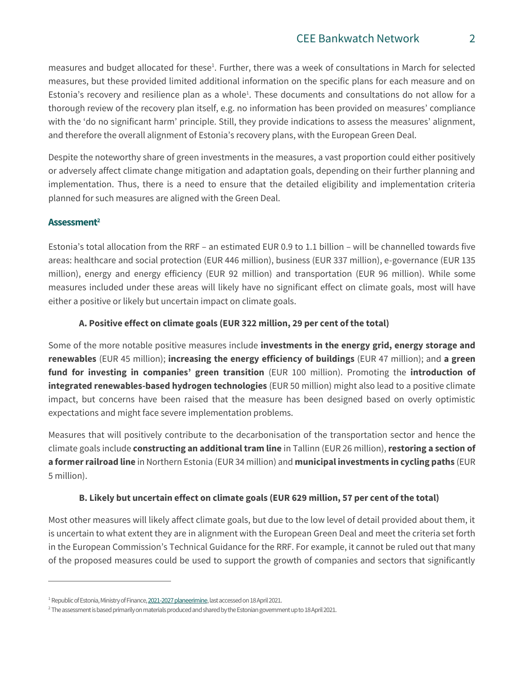<span id="page-1-0"></span>measures and budget allocated for these<sup>1</sup>. Further, there was a week of consultations in March for selected measures, but these provided limited additional information on the specific plans for each measure and on Estonia's r[e](#page-1-0)covery and resilience plan as a whole<sup>1</sup>. These documents and consultations do not allow for a thorough review of the recovery plan itself, e.g. no information has been provided on measures' compliance with the 'do no significant harm' principle. Still, they provide indications to assess the measures' alignment, and therefore the overall alignment of Estonia's recovery plans, with the European Green Deal.

Despite the noteworthy share of green investments in the measures, a vast proportion could either positively or adversely affect climate change mitigation and adaptation goals, depending on their further planning and implementation. Thus, there is a need to ensure that the detailed eligibility and implementation criteria planned for such measures are aligned with the Green Deal.

## **Assessment<sup>2</sup>**

 $\overline{a}$ 

Estonia's total allocation from the RRF – an estimated EUR 0.9 to 1.1 billion – will be channelled towards five areas: healthcare and social protection (EUR 446 million), business (EUR 337 million), e-governance (EUR 135 million), energy and energy efficiency (EUR 92 million) and transportation (EUR 96 million). While some measures included under these areas will likely have no significant effect on climate goals, most will have either a positive or likely but uncertain impact on climate goals.

## **A. Positive effect on climate goals (EUR 322 million, 29 per cent of the total)**

Some of the more notable positive measures include **investments in the energy grid, energy storage and renewables** (EUR 45 million); **increasing the energy efficiency of buildings** (EUR 47 million); and **a green fund for investing in companies' green transition** (EUR 100 million). Promoting the **introduction of integrated renewables-based hydrogen technologies** (EUR 50 million) might also lead to a positive climate impact, but concerns have been raised that the measure has been designed based on overly optimistic expectations and might face severe implementation problems.

Measures that will positively contribute to the decarbonisation of the transportation sector and hence the climate goals include **constructing an additional tram line** in Tallinn (EUR 26 million), **restoring a section of a former railroad line** in Northern Estonia (EUR 34 million) and **municipal investments in cycling paths** (EUR 5 million).

## **B. Likely but uncertain effect on climate goals (EUR 629 million, 57 per cent of the total)**

Most other measures will likely affect climate goals, but due to the low level of detail provided about them, it is uncertain to what extent they are in alignment with the European Green Deal and meet the criteria set forth in the European Commission's Technical Guidance for the RRF. For example, it cannot be ruled out that many of the proposed measures could be used to support the growth of companies and sectors that significantly

<sup>&</sup>lt;sup>1</sup> Republic of Estonia, Ministry of Finance, 2021-2027 planeerimine, last accessed on 18 April 2021.

<sup>&</sup>lt;sup>2</sup> The assessment is based primarily on materials produced and shared by the Estonian government up to 18 April 2021.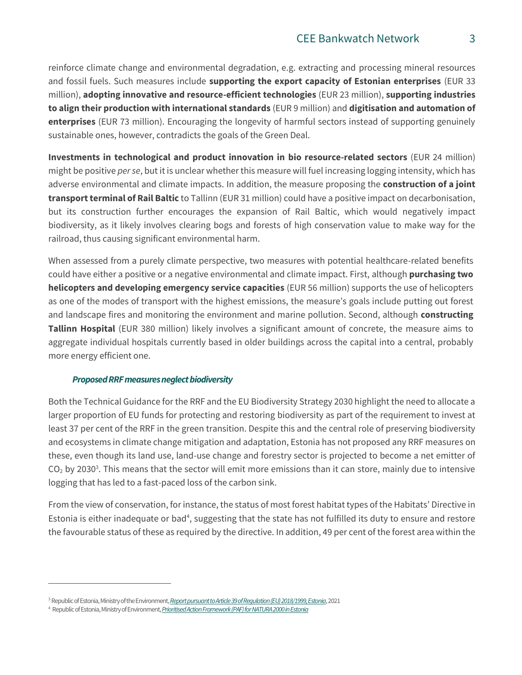reinforce climate change and environmental degradation, e.g. extracting and processing mineral resources and fossil fuels. Such measures include **supporting the export capacity of Estonian enterprises** (EUR 33 million), **adopting innovative and resource-efficient technologies** (EUR 23 million), **supporting industries to align their production with international standards** (EUR 9 million) and **digitisation and automation of enterprises** (EUR 73 million). Encouraging the longevity of harmful sectors instead of supporting genuinely sustainable ones, however, contradicts the goals of the Green Deal.

**Investments in technological and product innovation in bio resource-related sectors** (EUR 24 million) might be positive *per se*, but it is unclear whether this measure will fuel increasing logging intensity, which has adverse environmental and climate impacts. In addition, the measure proposing the **construction of a joint transport terminal of Rail Baltic** to Tallinn (EUR 31 million) could have a positive impact on decarbonisation, but its construction further encourages the expansion of Rail Baltic, which would negatively impact biodiversity, as it likely involves clearing bogs and forests of high conservation value to make way for the railroad, thus causing significant environmental harm.

When assessed from a purely climate perspective, two measures with potential healthcare-related benefits could have either a positive or a negative environmental and climate impact. First, although **purchasing two helicopters and developing emergency service capacities** (EUR 56 million) supports the use of helicopters as one of the modes of transport with the highest emissions, the measure's goals include putting out forest and landscape fires and monitoring the environment and marine pollution. Second, although **constructing Tallinn Hospital** (EUR 380 million) likely involves a significant amount of concrete, the measure aims to aggregate individual hospitals currently based in older buildings across the capital into a central, probably more energy efficient one.

#### *Proposed RRF measures neglect biodiversity*

Both the Technical Guidance for the RRF and the EU Biodiversity Strategy 2030 highlight the need to allocate a larger proportion of EU funds for protecting and restoring biodiversity as part of the requirement to invest at least 37 per cent of the RRF in the green transition. Despite this and the central role of preserving biodiversity and ecosystems in climate change mitigation and adaptation, Estonia has not proposed any RRF measures on these, even though its land use, land-use change and forestry sector is projected to become a net emitter of  $CO<sub>2</sub>$  $CO<sub>2</sub>$  $CO<sub>2</sub>$  $CO<sub>2</sub>$  $CO<sub>2</sub>$  by 2030<sup>3</sup>. This means that the sector will emit more emissions than it can store, mainly due to intensive logging that has led to a fast-paced loss of the carbon sink.

From the view of conservation, for instance, the status of most forest habitat types of the Habitats' Directive in Estonia is either inadequate or bad<sup>4</sup>, suggesting that the state has not fulfilled its duty to ensure and restore the favourable status of these as required by the directive. In addition, 49 per cent of the forest area within the

 $\overline{a}$ 

<sup>3</sup>Republic of Estonia, Ministry of the Environment, *[Reportpursuant to Article 39 ofRegulation \(EU\) 2018/1999, Estonia](https://www.envir.ee/sites/default/files/Kliima/ghg_projections_pams_estonia_2021_15.03.21_3.pdf)*, 2021

<sup>4</sup> Republic of Estonia, Ministry of Environment, *[Prioritised Action Framework \(PAF\) for NATURA 2000 in Estonia](https://www.envir.ee/sites/default/files/paf_estonia_2021_2027.pdf)*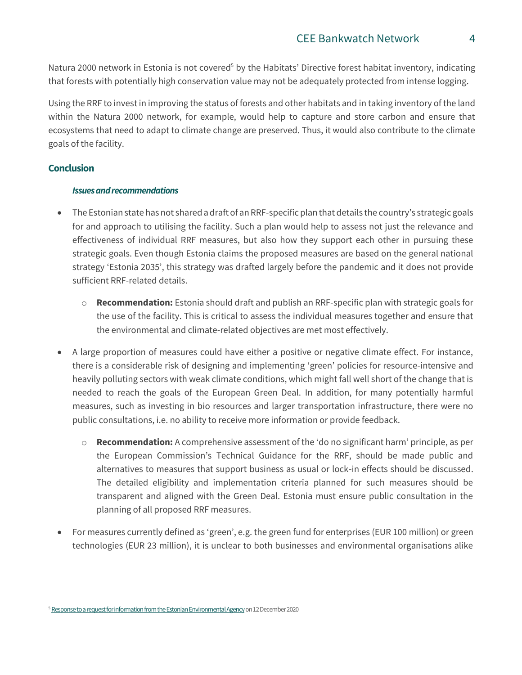Natura 2000 network in Estonia is not covered<sup>5</sup> by the Habitats' Directive forest habitat inventory, indicating that forests with potentially high conservation value may not be adequately protected from intense logging.

Using the RRF to invest in improving the status of forests and other habitats and in taking inventory of the land within the Natura 2000 network, for example, would help to capture and store carbon and ensure that ecosystems that need to adapt to climate change are preserved. Thus, it would also contribute to the climate goals of the facility.

## **Conclusion**

 $\overline{a}$ 

#### *Issues and recommendations*

- The Estonian state has not shared a draft of an RRF-specific plan that details the country's strategic goals for and approach to utilising the facility. Such a plan would help to assess not just the relevance and effectiveness of individual RRF measures, but also how they support each other in pursuing these strategic goals. Even though Estonia claims the proposed measures are based on the general national strategy 'Estonia 2035', this strategy was drafted largely before the pandemic and it does not provide sufficient RRF-related details.
	- o **Recommendation:** Estonia should draft and publish an RRF-specific plan with strategic goals for the use of the facility. This is critical to assess the individual measures together and ensure that the environmental and climate-related objectives are met most effectively.
- A large proportion of measures could have either a positive or negative climate effect. For instance, there is a considerable risk of designing and implementing 'green' policies for resource-intensive and heavily polluting sectors with weak climate conditions, which might fall well short of the change that is needed to reach the goals of the European Green Deal. In addition, for many potentially harmful measures, such as investing in bio resources and larger transportation infrastructure, there were no public consultations, i.e. no ability to receive more information or provide feedback.
	- o **Recommendation:** A comprehensive assessment of the 'do no significant harm' principle, as per the European Commission's Technical Guidance for the RRF, should be made public and alternatives to measures that support business as usual or lock-in effects should be discussed. The detailed eligibility and implementation criteria planned for such measures should be transparent and aligned with the Green Deal. Estonia must ensure public consultation in the planning of all proposed RRF measures.
- For measures currently defined as 'green', e.g. the green fund for enterprises (EUR 100 million) or green technologies (EUR 23 million), it is unclear to both businesses and environmental organisations alike

<sup>&</sup>lt;sup>5</sup> Response to a request for information from the Estonian Environmental Agency on 12 December 2020